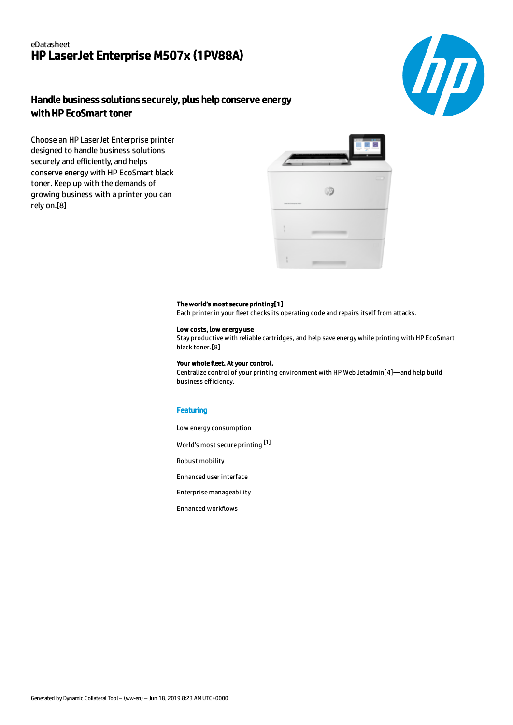## eDatasheet HP LaserJet Enterprise M507x (1PV88A)



# Handle business solutions securely, plus help conserve energy with HP EcoSmart toner

Choose an HP LaserJet Enterprise printer designed to handle business solutions securely and efficiently, and helps conserve energy with HP EcoSmart black toner. Keep up with the demands of growing business with a printer you can rely on.[8]



#### The world's most secure printing[1]

Each printer in your fleet checks its operating code and repairs itself from attacks.

### Low costs, low energy use

Stay productive with reliable cartridges, and help save energy while printing with HP EcoSmart black toner.[8]

#### Your whole fleet. At your control.

Centralize control of your printing environment with HP Web Jetadmin[4]—and help build business efficiency.

#### **Featuring**

Low energy consumption

World's most secure printing [1]

Robust mobility

Enhanced user interface

Enterprise manageability

Enhanced workflows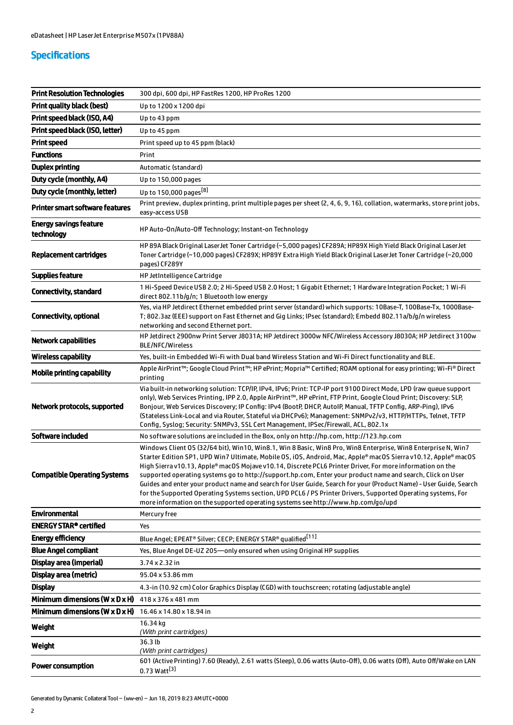# Specifications

| <b>Print Resolution Technologies</b>         | 300 dpi, 600 dpi, HP FastRes 1200, HP ProRes 1200                                                                                                                                                                                                                                                                                                                                                                                                                                                                                                                                                                                                                                                                                                                                   |
|----------------------------------------------|-------------------------------------------------------------------------------------------------------------------------------------------------------------------------------------------------------------------------------------------------------------------------------------------------------------------------------------------------------------------------------------------------------------------------------------------------------------------------------------------------------------------------------------------------------------------------------------------------------------------------------------------------------------------------------------------------------------------------------------------------------------------------------------|
| <b>Print quality black (best)</b>            | Up to 1200 x 1200 dpi                                                                                                                                                                                                                                                                                                                                                                                                                                                                                                                                                                                                                                                                                                                                                               |
| Print speed black (ISO, A4)                  | Up to 43 ppm                                                                                                                                                                                                                                                                                                                                                                                                                                                                                                                                                                                                                                                                                                                                                                        |
| Print speed black (ISO, letter)              | Up to 45 ppm                                                                                                                                                                                                                                                                                                                                                                                                                                                                                                                                                                                                                                                                                                                                                                        |
| <b>Print speed</b>                           | Print speed up to 45 ppm (black)                                                                                                                                                                                                                                                                                                                                                                                                                                                                                                                                                                                                                                                                                                                                                    |
| <b>Functions</b>                             | Print                                                                                                                                                                                                                                                                                                                                                                                                                                                                                                                                                                                                                                                                                                                                                                               |
| <b>Duplex printing</b>                       | Automatic (standard)                                                                                                                                                                                                                                                                                                                                                                                                                                                                                                                                                                                                                                                                                                                                                                |
| Duty cycle (monthly, A4)                     | Up to 150,000 pages                                                                                                                                                                                                                                                                                                                                                                                                                                                                                                                                                                                                                                                                                                                                                                 |
| Duty cycle (monthly, letter)                 | Up to 150,000 pages <sup>[8]</sup>                                                                                                                                                                                                                                                                                                                                                                                                                                                                                                                                                                                                                                                                                                                                                  |
| <b>Printer smart software features</b>       | Print preview, duplex printing, print multiple pages per sheet (2, 4, 6, 9, 16), collation, watermarks, store print jobs,<br>easy-access USB                                                                                                                                                                                                                                                                                                                                                                                                                                                                                                                                                                                                                                        |
| <b>Energy savings feature</b><br>technology  | HP Auto-On/Auto-Off Technology; Instant-on Technology                                                                                                                                                                                                                                                                                                                                                                                                                                                                                                                                                                                                                                                                                                                               |
| Replacement cartridges                       | HP 89A Black Original LaserJet Toner Cartridge (~5,000 pages) CF289A; HP89X High Yield Black Original LaserJet<br>Toner Cartridge (~10,000 pages) CF289X; HP89Y Extra High Yield Black Original LaserJet Toner Cartridge (~20,000<br>pages) CF289Y                                                                                                                                                                                                                                                                                                                                                                                                                                                                                                                                  |
| <b>Supplies feature</b>                      | HP JetIntelligence Cartridge                                                                                                                                                                                                                                                                                                                                                                                                                                                                                                                                                                                                                                                                                                                                                        |
| <b>Connectivity, standard</b>                | 1 Hi-Speed Device USB 2.0; 2 Hi-Speed USB 2.0 Host; 1 Gigabit Ethernet; 1 Hardware Integration Pocket; 1 Wi-Fi<br>direct 802.11b/g/n; 1 Bluetooth low energy                                                                                                                                                                                                                                                                                                                                                                                                                                                                                                                                                                                                                        |
| Connectivity, optional                       | Yes, via HP Jetdirect Ethernet embedded print server (standard) which supports: 10Base-T, 100Base-Tx, 1000Base-<br>T; 802.3az (EEE) support on Fast Ethernet and Gig Links; IPsec (standard); Embedd 802.11a/b/g/n wireless<br>networking and second Ethernet port.                                                                                                                                                                                                                                                                                                                                                                                                                                                                                                                 |
| <b>Network capabilities</b>                  | HP Jetdirect 2900nw Print Server J8031A; HP Jetdirect 3000w NFC/Wireless Accessory J8030A; HP Jetdirect 3100w<br>BLE/NFC/Wireless                                                                                                                                                                                                                                                                                                                                                                                                                                                                                                                                                                                                                                                   |
| <b>Wireless capability</b>                   | Yes, built-in Embedded Wi-Fi with Dual band Wireless Station and Wi-Fi Direct functionality and BLE.                                                                                                                                                                                                                                                                                                                                                                                                                                                                                                                                                                                                                                                                                |
| Mobile printing capability                   | Apple AirPrint™; Google Cloud Print™; HP ePrint; Mopria™ Certified; ROAM optional for easy printing; Wi-Fi® Direct<br>printing                                                                                                                                                                                                                                                                                                                                                                                                                                                                                                                                                                                                                                                      |
| Network protocols, supported                 | Via built-in networking solution: TCP/IP, IPv4, IPv6; Print: TCP-IP port 9100 Direct Mode, LPD (raw queue support<br>only), Web Services Printing, IPP 2.0, Apple AirPrint™, HP ePrint, FTP Print, Google Cloud Print; Discovery: SLP,<br>Bonjour, Web Services Discovery; IP Config: IPv4 (BootP, DHCP, AutoIP, Manual, TFTP Config, ARP-Ping), IPv6<br>(Stateless Link-Local and via Router, Stateful via DHCPv6); Management: SNMPv2/v3, HTTP/HTTPs, Telnet, TFTP<br>Config, Syslog; Security: SNMPv3, SSL Cert Management, IPSec/Firewall, ACL, 802.1x                                                                                                                                                                                                                          |
| Software included                            | No software solutions are included in the Box, only on http://hp.com, http://123.hp.com                                                                                                                                                                                                                                                                                                                                                                                                                                                                                                                                                                                                                                                                                             |
| <b>Compatible Operating Systems</b>          | Windows Client OS (32/64 bit), Win10, Win8.1, Win 8 Basic, Win8 Pro, Win8 Enterprise, Win8 Enterprise N, Win7<br>Starter Edition SP1, UPD Win7 Ultimate, Mobile OS, iOS, Android, Mac, Apple® macOS Sierra v10.12, Apple® macOS<br>High Sierra v10.13, Apple® macOS Mojave v10.14, Discrete PCL6 Printer Driver, For more information on the<br>supported operating systems go to http://support.hp.com, Enter your product name and search, Click on User<br>Guides and enter your product name and search for User Guide, Search for your (Product Name) - User Guide, Search<br>for the Supported Operating Systems section, UPD PCL6 / PS Printer Drivers, Supported Operating systems, For<br>more information on the supported operating systems see http://www.hp.com/go/upd |
| <b>Environmental</b>                         |                                                                                                                                                                                                                                                                                                                                                                                                                                                                                                                                                                                                                                                                                                                                                                                     |
|                                              | Mercury free                                                                                                                                                                                                                                                                                                                                                                                                                                                                                                                                                                                                                                                                                                                                                                        |
| <b>ENERGY STAR® certified</b>                | Yes                                                                                                                                                                                                                                                                                                                                                                                                                                                                                                                                                                                                                                                                                                                                                                                 |
| <b>Energy efficiency</b>                     | Blue Angel; EPEAT® Silver; CECP; ENERGY STAR® qualified <sup>[11]</sup>                                                                                                                                                                                                                                                                                                                                                                                                                                                                                                                                                                                                                                                                                                             |
| <b>Blue Angel compliant</b>                  | Yes, Blue Angel DE-UZ 205-only ensured when using Original HP supplies                                                                                                                                                                                                                                                                                                                                                                                                                                                                                                                                                                                                                                                                                                              |
| Display area (imperial)                      | 3.74 x 2.32 in                                                                                                                                                                                                                                                                                                                                                                                                                                                                                                                                                                                                                                                                                                                                                                      |
| Display area (metric)                        | 95.04 x 53.86 mm                                                                                                                                                                                                                                                                                                                                                                                                                                                                                                                                                                                                                                                                                                                                                                    |
| <b>Display</b>                               | 4.3-in (10.92 cm) Color Graphics Display (CGD) with touchscreen; rotating (adjustable angle)                                                                                                                                                                                                                                                                                                                                                                                                                                                                                                                                                                                                                                                                                        |
| Minimum dimensions ( $W \times D \times H$ ) | 418 x 376 x 481 mm                                                                                                                                                                                                                                                                                                                                                                                                                                                                                                                                                                                                                                                                                                                                                                  |
| Minimum dimensions ( $W \times D \times H$ ) | 16.46 x 14.80 x 18.94 in                                                                                                                                                                                                                                                                                                                                                                                                                                                                                                                                                                                                                                                                                                                                                            |
| Weight                                       | 16.34 kg<br>(With print cartridges)                                                                                                                                                                                                                                                                                                                                                                                                                                                                                                                                                                                                                                                                                                                                                 |
| Weight                                       | 36.3 lb<br>(With print cartridges)<br>601 (Active Printing) 7.60 (Ready), 2.61 watts (Sleep), 0.06 watts (Auto-Off), 0.06 watts (Off), Auto Off/Wake on LAN                                                                                                                                                                                                                                                                                                                                                                                                                                                                                                                                                                                                                         |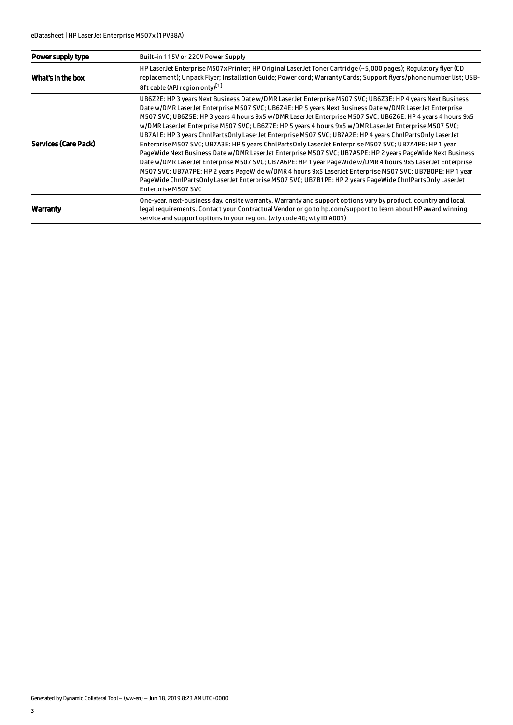| Power supply type    | Built-in 115V or 220V Power Supply                                                                                                                                                                                                                                                                                                                                                                                                                                                                                                                                                                                                                                                                                                                                                                                                                                                                                                                                                                                                                                                                                                                   |
|----------------------|------------------------------------------------------------------------------------------------------------------------------------------------------------------------------------------------------------------------------------------------------------------------------------------------------------------------------------------------------------------------------------------------------------------------------------------------------------------------------------------------------------------------------------------------------------------------------------------------------------------------------------------------------------------------------------------------------------------------------------------------------------------------------------------------------------------------------------------------------------------------------------------------------------------------------------------------------------------------------------------------------------------------------------------------------------------------------------------------------------------------------------------------------|
| What's in the box    | HP Laser Jet Enterprise M507x Printer; HP Original Laser Jet Toner Cartridge (~5,000 pages); Regulatory flyer (CD<br>replacement); Unpack Flyer; Installation Guide; Power cord; Warranty Cards; Support flyers/phone number list; USB-<br>8ft cable (APJ region only)[1]                                                                                                                                                                                                                                                                                                                                                                                                                                                                                                                                                                                                                                                                                                                                                                                                                                                                            |
| Services (Care Pack) | UB6Z2E: HP 3 years Next Business Date w/DMR Laser Jet Enterprise M507 SVC; UB6Z3E: HP 4 years Next Business<br>Date w/DMR Laser Jet Enterprise M507 SVC; UB6Z4E: HP 5 years Next Business Date w/DMR Laser Jet Enterprise<br>M507 SVC; UB6Z5E: HP 3 years 4 hours 9x5 w/DMR LaserJet Enterprise M507 SVC; UB6Z6E: HP 4 years 4 hours 9x5<br>w/DMR LaserJet Enterprise M507 SVC; UB6Z7E: HP 5 years 4 hours 9x5 w/DMR LaserJet Enterprise M507 SVC;<br>UB7A1E: HP 3 years ChnlPartsOnly LaserJet Enterprise M507 SVC; UB7A2E: HP 4 years ChnlPartsOnly LaserJet<br>Enterprise M507 SVC; UB7A3E: HP 5 years ChnlPartsOnly LaserJet Enterprise M507 SVC; UB7A4PE: HP 1 year<br>PageWide Next Business Date w/DMR LaserJet Enterprise M507 SVC; UB7A5PE: HP 2 years PageWide Next Business<br>Date w/DMR LaserJet Enterprise M507 SVC; UB7A6PE: HP 1 year PageWide w/DMR 4 hours 9x5 LaserJet Enterprise<br>M507 SVC; UB7A7PE: HP 2 years PageWide w/DMR 4 hours 9x5 LaserJet Enterprise M507 SVC; UB7B0PE: HP 1 year<br>PageWide ChnlPartsOnly LaserJet Enterprise M507 SVC; UB7B1PE: HP 2 years PageWide ChnlPartsOnly LaserJet<br>Enterprise M507 SVC |
| Warranty             | One-year, next-business day, onsite warranty. Warranty and support options vary by product, country and local<br>legal requirements. Contact your Contractual Vendor or go to hp.com/support to learn about HP award winning<br>service and support options in your region. (wty code 4G; wty ID A001)                                                                                                                                                                                                                                                                                                                                                                                                                                                                                                                                                                                                                                                                                                                                                                                                                                               |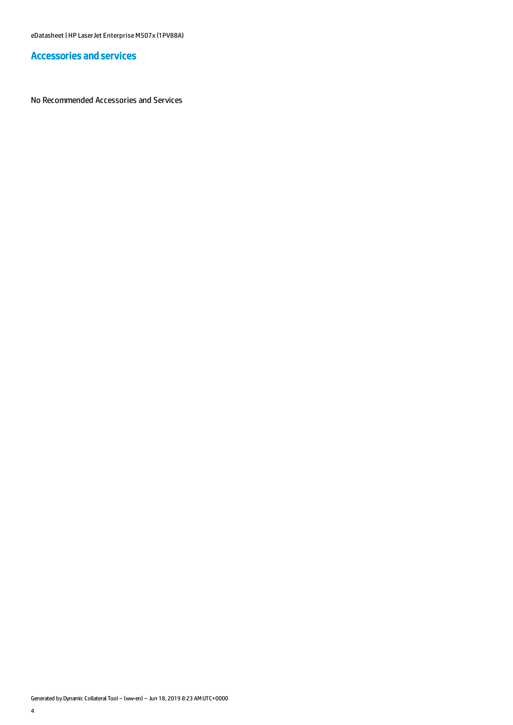## Accessories and services

No Recommended Accessories and Services